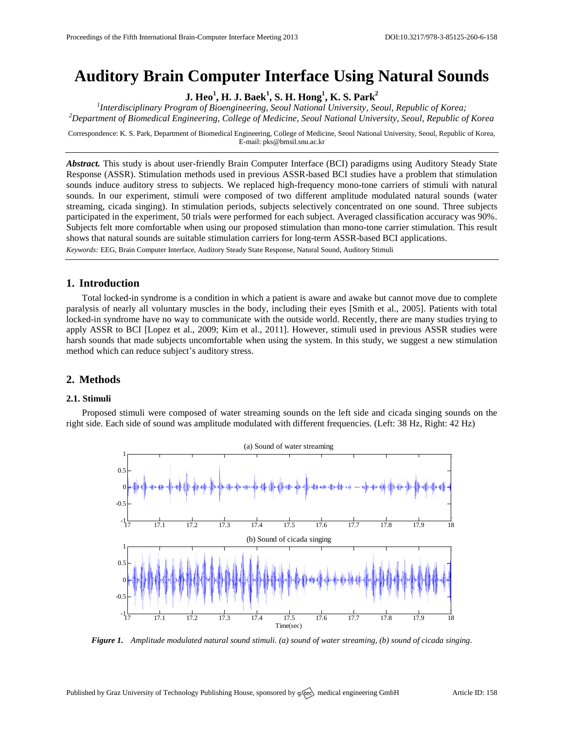# **Auditory Brain Computer Interface Using Natural Sounds**

**J. Heo<sup>1</sup> , H. J. Baek<sup>1</sup> , S. H. Hong<sup>1</sup> , K. S. Park<sup>2</sup>**

*1 Interdisciplinary Program of Bioengineering, Seoul National University, Seoul, Republic of Korea; <sup>2</sup>Department of Biomedical Engineering, College of Medicine, Seoul National University, Seoul, Republic of Korea*

Correspondence: K. S. Park, Department of Biomedical Engineering, College of Medicine, Seoul National University, Seoul, Republic of Korea, E-mail[: pks@bmsil.snu.ac.kr](mailto:pks@bmsil.snu.ac.kr)

*Abstract.* This study is about user-friendly Brain Computer Interface (BCI) paradigms using Auditory Steady State Response (ASSR). Stimulation methods used in previous ASSR-based BCI studies have a problem that stimulation sounds induce auditory stress to subjects. We replaced high-frequency mono-tone carriers of stimuli with natural sounds. In our experiment, stimuli were composed of two different amplitude modulated natural sounds (water streaming, cicada singing). In stimulation periods, subjects selectively concentrated on one sound. Three subjects participated in the experiment, 50 trials were performed for each subject. Averaged classification accuracy was 90%. Subjects felt more comfortable when using our proposed stimulation than mono-tone carrier stimulation. This result shows that natural sounds are suitable stimulation carriers for long-term ASSR-based BCI applications.

*Keywords:* EEG, Brain Computer Interface, Auditory Steady State Response, Natural Sound, Auditory Stimuli

# **1. Introduction**

Total locked-in syndrome is a condition in which a patient is aware and awake but cannot move due to complete paralysis of nearly all voluntary muscles in the body, including their eyes [Smith et al., 2005]. Patients with total locked-in syndrome have no way to communicate with the outside world. Recently, there are many studies trying to apply ASSR to BCI [Lopez et al., 2009; Kim et al., 2011]. However, stimuli used in previous ASSR studies were harsh sounds that made subjects uncomfortable when using the system. In this study, we suggest a new stimulation method which can reduce subject's auditory stress.

## **2. Methods**

#### **2.1. Stimuli**

Proposed stimuli were composed of water streaming sounds on the left side and cicada singing sounds on the right side. Each side of sound was amplitude modulated with different frequencies. (Left: 38 Hz, Right: 42 Hz)



*Figure 1. Amplitude modulated natural sound stimuli. (a) sound of water streaming, (b) sound of cicada singing.*